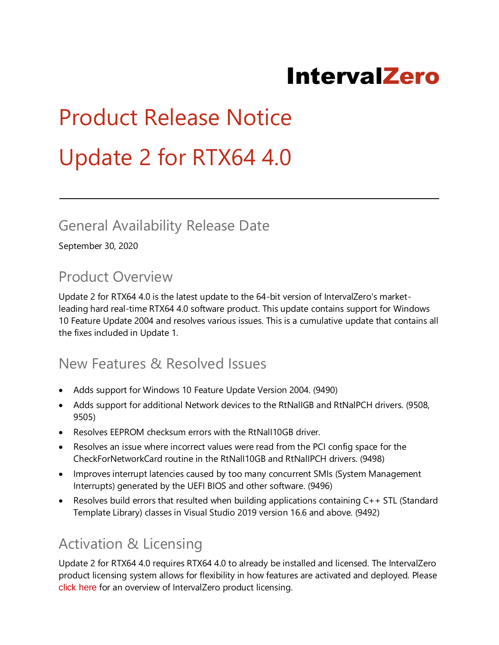# IntervalZero

# Product Release Notice Update 2 for RTX64 4.0

#### General Availability Release Date

September 30, 2020

#### Product Overview

Update 2 for RTX64 4.0 is the latest update to the 64-bit version of IntervalZero's marketleading hard real-time RTX64 4.0 software product. This update contains support for Windows 10 Feature Update 2004 and resolves various issues. This is a cumulative update that contains all the fixes included in Update 1.

#### New Features & Resolved Issues

- Adds support for Windows 10 Feature Update Version 2004. (9490)
- Adds support for additional Network devices to the RtNallGB and RtNalPCH drivers. (9508, 9505)
- Resolves EEPROM checksum errors with the RtNalI10GB driver.
- Resolves an issue where incorrect values were read from the PCI config space for the CheckForNetworkCard routine in the RtNalI10GB and RtNalIPCH drivers. (9498)
- Improves interrupt latencies caused by too many concurrent SMIs (System Management Interrupts) generated by the UEFI BIOS and other software. (9496)
- Resolves build errors that resulted when building applications containing C++ STL (Standard Template Library) classes in Visual Studio 2019 version 16.6 and above. (9492)

## Activation & Licensing

Update 2 for RTX64 4.0 requires RTX64 4.0 to already be installed and licensed. The IntervalZero product licensing system allows for flexibility in how features are activated and deployed. Please [click here](http://www.intervalzero.com/rtx-product-activation/) for an overview of IntervalZero product licensing.